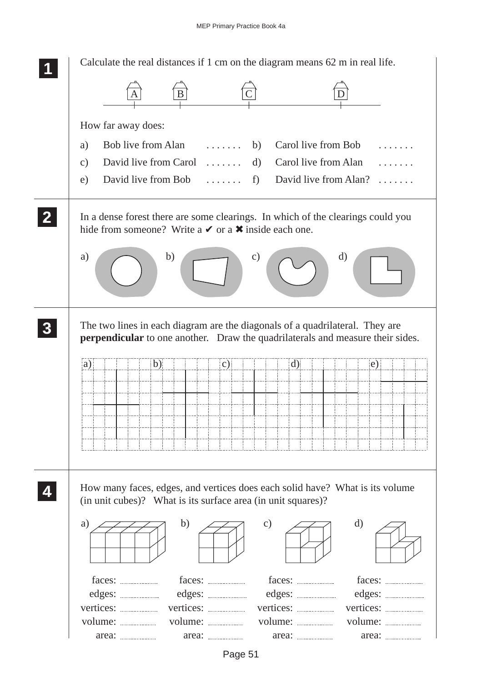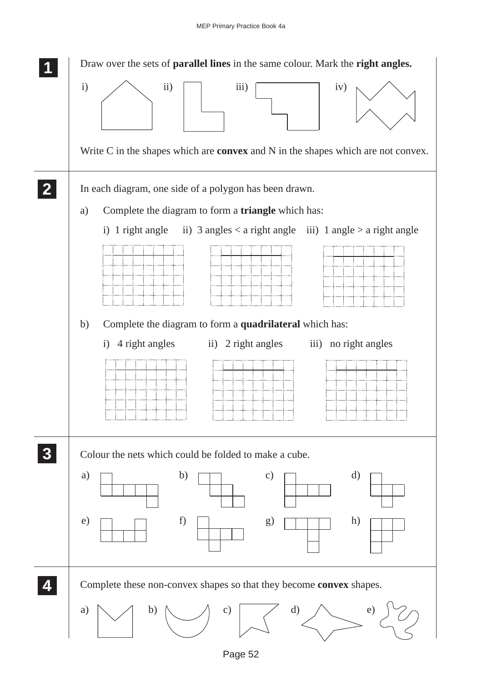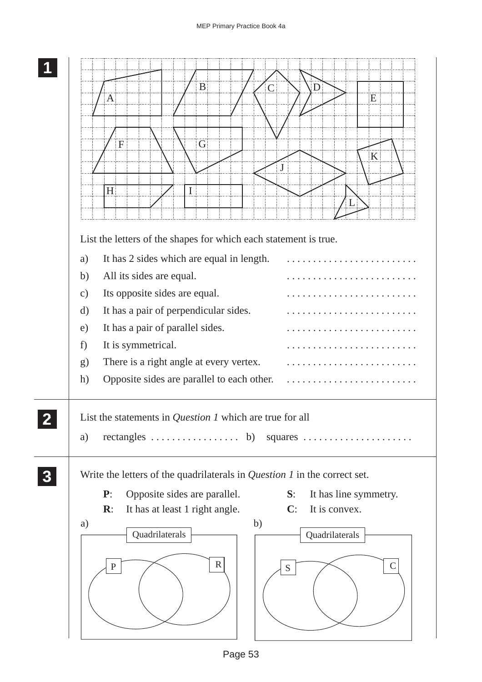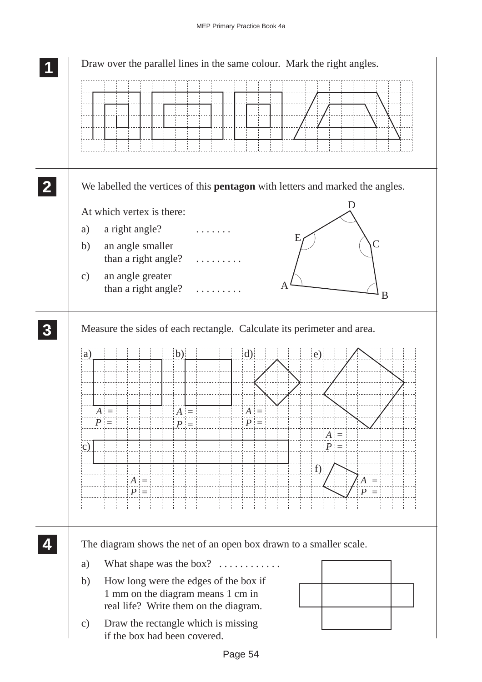|                  | Draw over the parallel lines in the same colour. Mark the right angles.              |  |  |
|------------------|--------------------------------------------------------------------------------------|--|--|
|                  |                                                                                      |  |  |
| $\mathbf{2}$     | We labelled the vertices of this <b>pentagon</b> with letters and marked the angles. |  |  |
|                  | D<br>At which vertex is there:                                                       |  |  |
|                  | a right angle?<br>a)                                                                 |  |  |
|                  | E<br>an angle smaller<br>b)                                                          |  |  |
|                  | than a right angle?                                                                  |  |  |
|                  | an angle greater<br>$\mathbf{c})$<br>Α<br>than a right angle?                        |  |  |
|                  | B                                                                                    |  |  |
| $\boldsymbol{3}$ | Measure the sides of each rectangle. Calculate its perimeter and area.               |  |  |
|                  | $\mathbf{d}$<br>$\mathbf{b}$<br>$\left( a\right)$<br>e)                              |  |  |
|                  |                                                                                      |  |  |
|                  |                                                                                      |  |  |
|                  | $A =$<br>$A =$<br>$A =$<br>$P =$                                                     |  |  |
|                  | $P =$<br>$P =$<br>$A =$                                                              |  |  |
|                  | $P =$<br>$\mathbf{c})$                                                               |  |  |
|                  | $\mathbf{f}$                                                                         |  |  |
|                  | $A =$<br>$A =$<br>$P =$<br>$P =$                                                     |  |  |
|                  |                                                                                      |  |  |
|                  |                                                                                      |  |  |
|                  | The diagram shows the net of an open box drawn to a smaller scale.                   |  |  |
|                  | What shape was the box? $\dots\dots\dots\dots$<br>a)                                 |  |  |
|                  | How long were the edges of the box if<br>b)                                          |  |  |
|                  | 1 mm on the diagram means 1 cm in<br>real life? Write them on the diagram.           |  |  |
|                  | Draw the rectangle which is missing<br>$\mathbf{c})$                                 |  |  |
|                  | if the box had been covered.                                                         |  |  |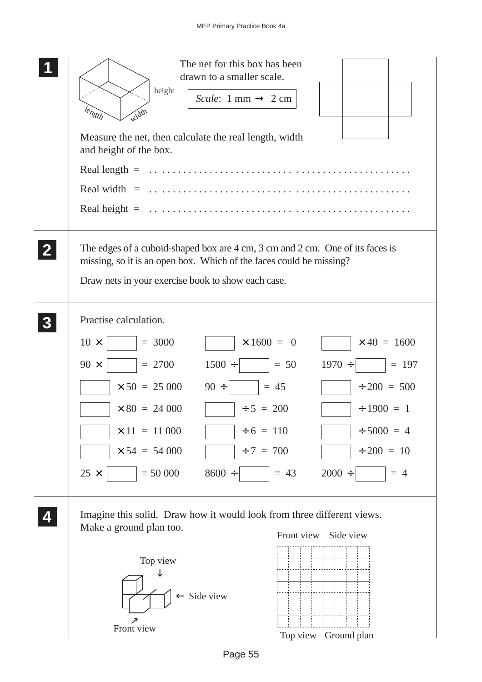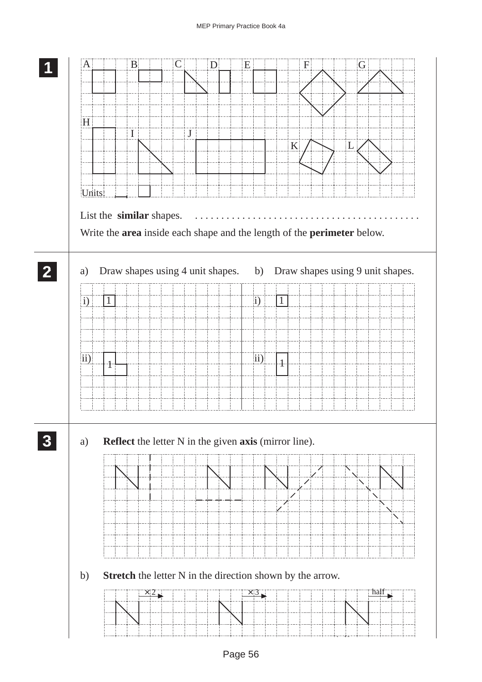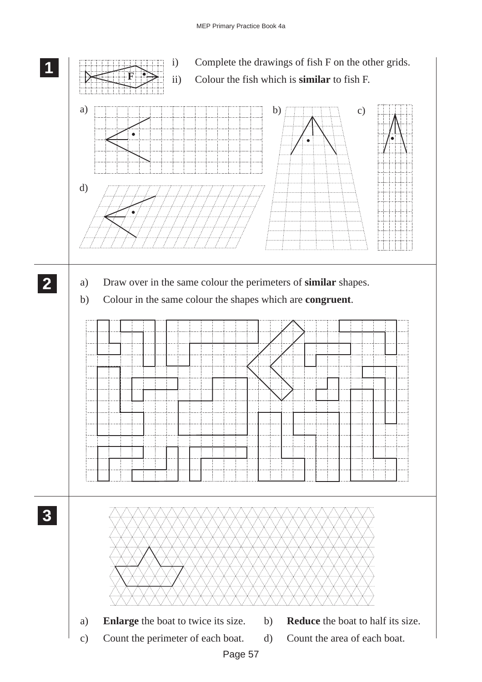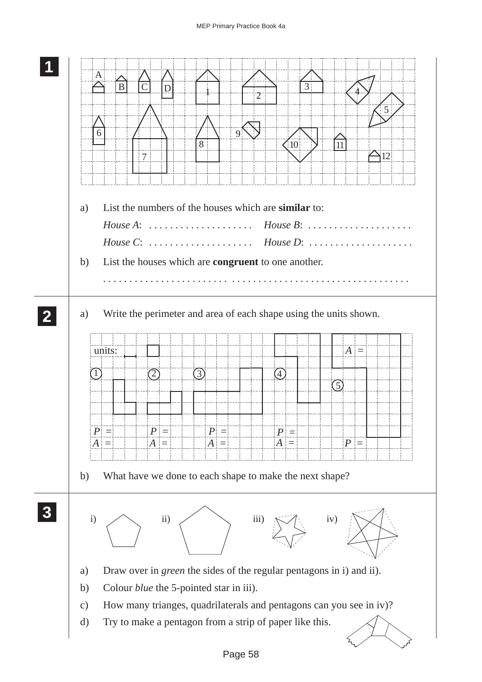## MEP Primary Practice Book 4a

|                                           | A <br>$\overline{B}$<br>3<br>D<br>5<br>9<br>8<br>10<br>11                                                                                                                                                                                                                                                                |
|-------------------------------------------|--------------------------------------------------------------------------------------------------------------------------------------------------------------------------------------------------------------------------------------------------------------------------------------------------------------------------|
|                                           | 12 <br>7                                                                                                                                                                                                                                                                                                                 |
| a)                                        | List the numbers of the houses which are similar to:                                                                                                                                                                                                                                                                     |
| b)                                        | List the houses which are congruent to one another.                                                                                                                                                                                                                                                                      |
| a)<br>b)                                  | Write the perimeter and area of each shape using the units shown.<br>units:<br>$ A  =$<br>(3)<br>(4)<br>$\left(1\right)$<br>(2)<br>(5)<br>$P =$<br>$\boldsymbol{P}$<br>$\, P \,$<br>$\boldsymbol{P}$<br>$\equiv$<br>$P =$<br>$A =$<br>$A =$<br>$A =$<br>$A =$<br>What have we done to each shape to make the next shape? |
| $\mathbf{i}$                              | $\mathbf{ii}$ )<br>iii)<br>iv)                                                                                                                                                                                                                                                                                           |
| a)<br>b)<br>$\mathbf{c})$<br>$\mathbf{d}$ | Draw over in <i>green</i> the sides of the regular pentagons in i) and ii).<br>Colour <i>blue</i> the 5-pointed star in iii).<br>How many trianges, quadrilaterals and pentagons can you see in iv)?<br>Try to make a pentagon from a strip of paper like this.                                                          |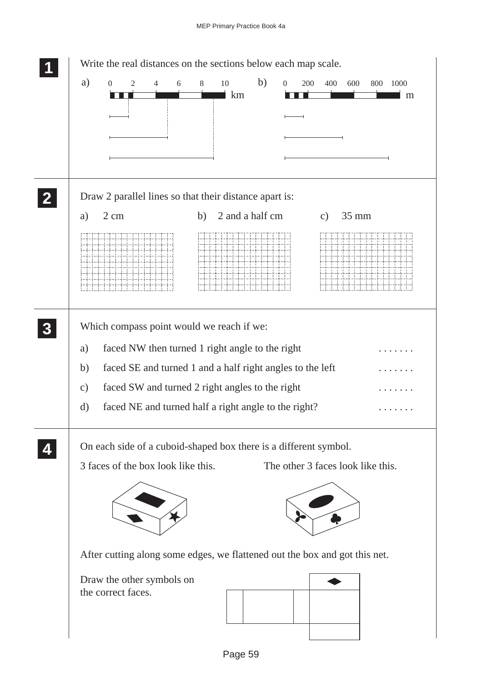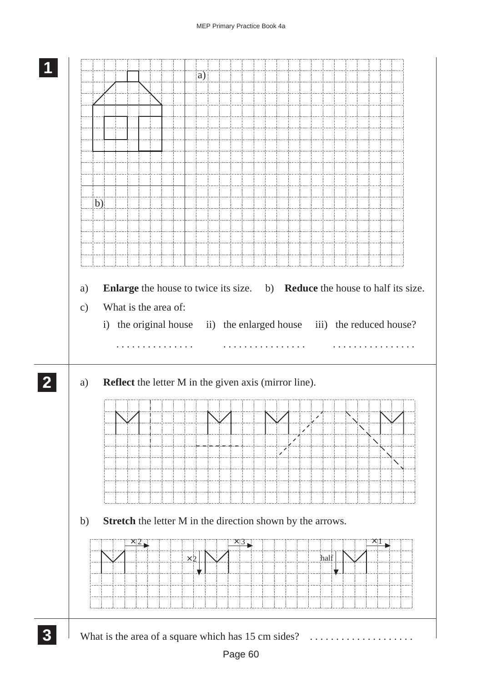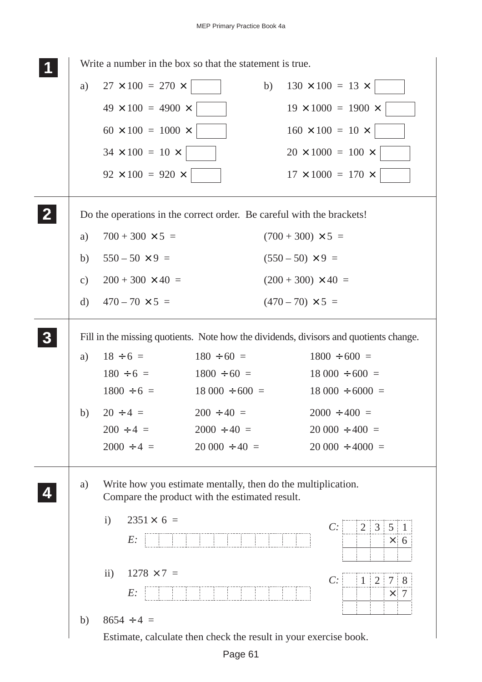|                | Write a number in the box so that the statement is true.              |                                                                                                                |                    |    |                                                                                       |
|----------------|-----------------------------------------------------------------------|----------------------------------------------------------------------------------------------------------------|--------------------|----|---------------------------------------------------------------------------------------|
|                | a)                                                                    | $27 \times 100 = 270 \times$                                                                                   |                    | b) | $130 \times 100 = 13 \times$                                                          |
|                |                                                                       | $49 \times 100 = 4900 \times$                                                                                  |                    |    | $19 \times 1000 = 1900 \times$                                                        |
|                |                                                                       | $60 \times 100 = 1000 \times$                                                                                  |                    |    | $160 \times 100 = 10 \times$                                                          |
|                |                                                                       | $34 \times 100 = 10 \times$                                                                                    |                    |    | $20 \times 1000 = 100 \times$                                                         |
|                |                                                                       | $92 \times 100 = 920 \times$                                                                                   |                    |    | $17 \times 1000 = 170 \times$                                                         |
| $\mathbf{Z}$   | Do the operations in the correct order. Be careful with the brackets! |                                                                                                                |                    |    |                                                                                       |
|                | a)                                                                    | $700 + 300 \times 5 =$                                                                                         |                    |    | $(700 + 300) \times 5 =$                                                              |
|                | b)                                                                    | $550 - 50 \times 9 =$                                                                                          |                    |    | $(550-50) \times 9 =$                                                                 |
|                | $\mathbf{c})$                                                         | $200 + 300 \times 40 =$                                                                                        |                    |    | $(200 + 300) \times 40 =$                                                             |
|                | $\rm d)$                                                              | $470 - 70 \times 5 =$                                                                                          |                    |    | $(470-70) \times 5 =$                                                                 |
| 3 <sup>1</sup> |                                                                       |                                                                                                                |                    |    | Fill in the missing quotients. Note how the dividends, divisors and quotients change. |
|                | a)                                                                    | $18 \div 6 =$                                                                                                  | $180 \div 60 =$    |    | $1800 \div 600 =$                                                                     |
|                |                                                                       | $180 \div 6 =$                                                                                                 | $1800 \div 60 =$   |    | $18000 \div 600 =$                                                                    |
|                |                                                                       | $1800 \div 6 =$                                                                                                | $18000 \div 600 =$ |    | $18000 \div 6000 =$                                                                   |
|                | b)                                                                    | $20 \div 4 =$                                                                                                  | $200 \div 40 =$    |    | $2000 \div 400 =$                                                                     |
|                |                                                                       | $200 \div 4 =$                                                                                                 | $2000 \div 40 =$   |    | $20000 \div 400 =$                                                                    |
|                |                                                                       | $2000 \div 4 =$                                                                                                | $20000 \div 40 =$  |    | $20000 \div 4000 =$                                                                   |
|                | a)                                                                    | Write how you estimate mentally, then do the multiplication.<br>Compare the product with the estimated result. |                    |    |                                                                                       |
|                |                                                                       | $2351 \times 6 =$<br>$\mathbf{i}$<br>$E$ :                                                                     |                    |    | C:<br>2 3 5 1<br>$\times 6$                                                           |
|                |                                                                       | $\rm ii)$<br>$1278 \times 7 =$<br>$E$ :                                                                        |                    |    | C:<br>$1 \ 2 \ 7 \ 8$<br>$\times$ 7                                                   |
|                | b)                                                                    | $8654 \div 4 =$                                                                                                |                    |    |                                                                                       |
|                |                                                                       | Estimate, calculate then check the result in your exercise book.                                               |                    |    |                                                                                       |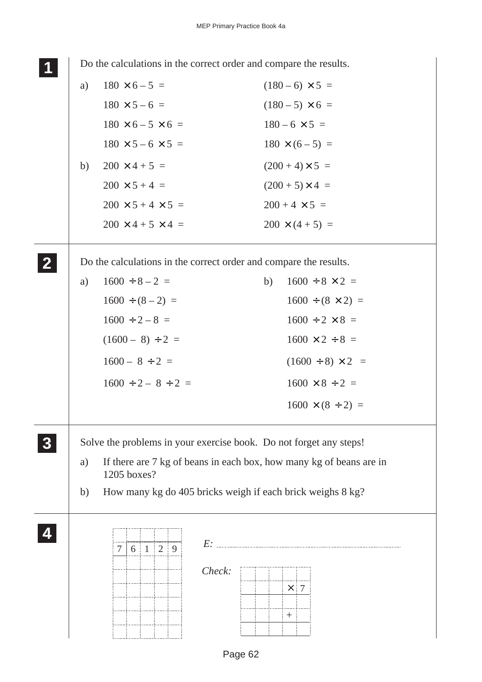**1 11 <sup>11</sup>** Do the calculations in the correct order and compare the results. a)  $180 \times 6 - 5 =$   $(180 - 6) \times 5 =$  $180 \times 5 - 6 = (180 - 5) \times 6 =$  $180 \times 6 - 5 \times 6 = 180 - 6 \times 5 =$  $180 \times 5 - 6 \times 5 = 180 \times (6 - 5) =$ b)  $200 \times 4 + 5 =$   $(200 + 4) \times 5 =$  $200 \times 5 + 4 =$  (200 + 5) × 4 =  $200 \times 5 + 4 \times 5 = 200 + 4 \times 5 =$  $200 \times 4 + 5 \times 4 = 200 \times (4 + 5) =$ Do the calculations in the correct order and compare the results. a)  $1600 \div 8 - 2 =$  b)  $1600 \div 8 \times 2 =$  $1600 \div (8 - 2) = 1600 \div (8 \times 2) =$  $1600 \div 2 - 8 = 1600 \div 2 \times 8 =$  $(1600 - 8) \div 2 = 1600 \times 2 \div 8 =$  $1600 - 8 \div 2 =$  (1600 ÷ 8) × 2 =  $1600 \div 2 - 8 \div 2 = 1600 \times 8 \div 2 =$  $1600 \times (8 \div 2) =$ Solve the problems in your exercise book. Do not forget any steps! a) If there are 7 kg of beans in each box, how many kg of beans are in 1205 boxes? b) How many kg do 405 bricks weigh if each brick weighs 8 kg? **2 22 22 3 33 33 4 44 44**  $\frac{1}{7}$  6 1 2 9 E: *Check:*  $\times$  $+$ 7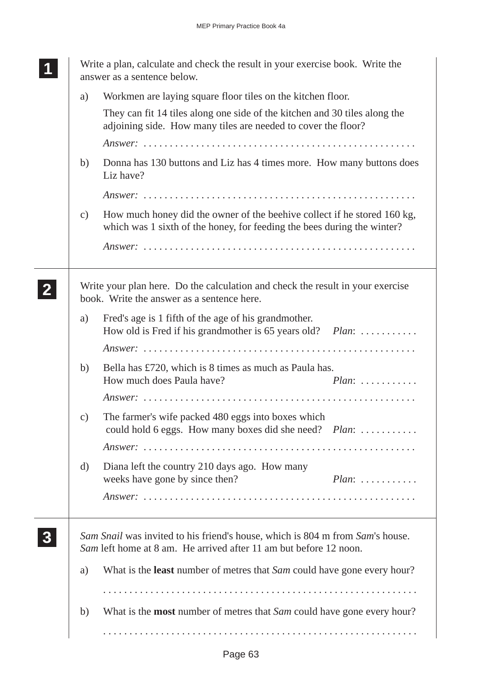|  | Write a plan, calculate and check the result in your exercise book. Write the<br>answer as a sentence below. |                                                                                                                                                     |                              |  |  |  |
|--|--------------------------------------------------------------------------------------------------------------|-----------------------------------------------------------------------------------------------------------------------------------------------------|------------------------------|--|--|--|
|  | a)                                                                                                           | Workmen are laying square floor tiles on the kitchen floor.                                                                                         |                              |  |  |  |
|  |                                                                                                              | They can fit 14 tiles along one side of the kitchen and 30 tiles along the<br>adjoining side. How many tiles are needed to cover the floor?         |                              |  |  |  |
|  |                                                                                                              |                                                                                                                                                     |                              |  |  |  |
|  | b)                                                                                                           | Donna has 130 buttons and Liz has 4 times more. How many buttons does<br>Liz have?                                                                  |                              |  |  |  |
|  |                                                                                                              |                                                                                                                                                     |                              |  |  |  |
|  | $\mathbf{c})$                                                                                                | How much honey did the owner of the beehive collect if he stored 160 kg,<br>which was 1 sixth of the honey, for feeding the bees during the winter? |                              |  |  |  |
|  |                                                                                                              |                                                                                                                                                     |                              |  |  |  |
|  |                                                                                                              | Write your plan here. Do the calculation and check the result in your exercise<br>book. Write the answer as a sentence here.                        |                              |  |  |  |
|  | a)                                                                                                           | Fred's age is 1 fifth of the age of his grandmother.<br>How old is Fred if his grandmother is 65 years old? <i>Plan</i> :                           |                              |  |  |  |
|  |                                                                                                              |                                                                                                                                                     |                              |  |  |  |
|  | b)                                                                                                           | Bella has £720, which is 8 times as much as Paula has.<br>How much does Paula have?                                                                 | $Plan: \ldots \ldots \ldots$ |  |  |  |
|  |                                                                                                              |                                                                                                                                                     |                              |  |  |  |
|  | C)                                                                                                           | The farmer's wife packed 480 eggs into boxes which<br>could hold 6 eggs. How many boxes did she need? <i>Plan</i> :                                 |                              |  |  |  |
|  |                                                                                                              |                                                                                                                                                     |                              |  |  |  |
|  | d)                                                                                                           | Diana left the country 210 days ago. How many<br>weeks have gone by since then?                                                                     | $Plan:$                      |  |  |  |
|  |                                                                                                              |                                                                                                                                                     |                              |  |  |  |
|  |                                                                                                              | Sam Snail was invited to his friend's house, which is 804 m from Sam's house.<br>Sam left home at 8 am. He arrived after 11 am but before 12 noon.  |                              |  |  |  |
|  | a)                                                                                                           | What is the <b>least</b> number of metres that <i>Sam</i> could have gone every hour?                                                               |                              |  |  |  |
|  |                                                                                                              |                                                                                                                                                     |                              |  |  |  |
|  | b)                                                                                                           | What is the <b>most</b> number of metres that <i>Sam</i> could have gone every hour?                                                                |                              |  |  |  |
|  |                                                                                                              |                                                                                                                                                     |                              |  |  |  |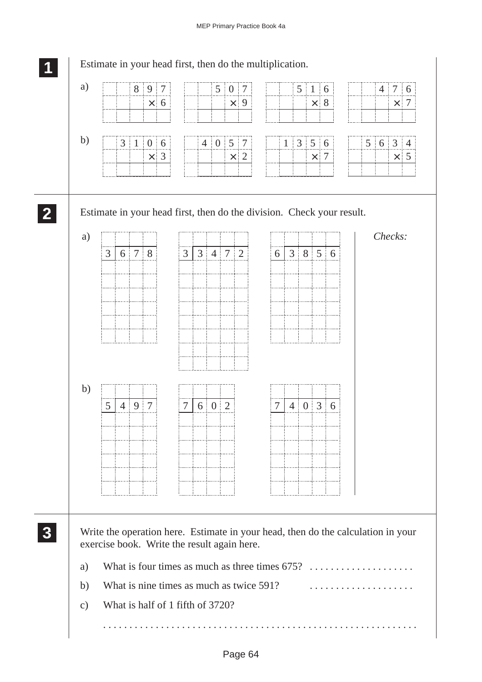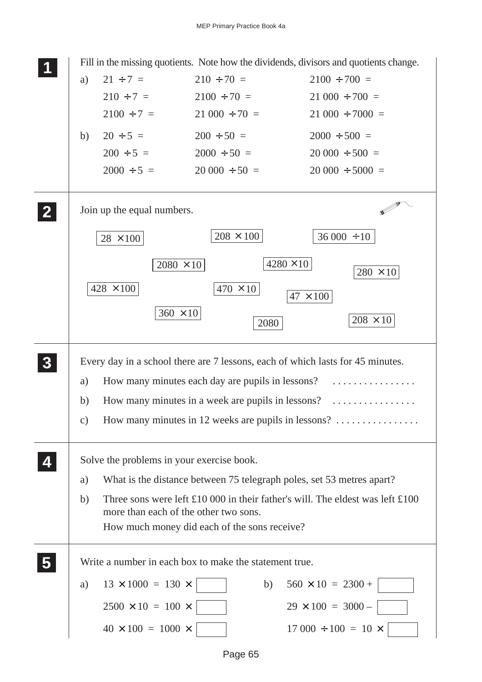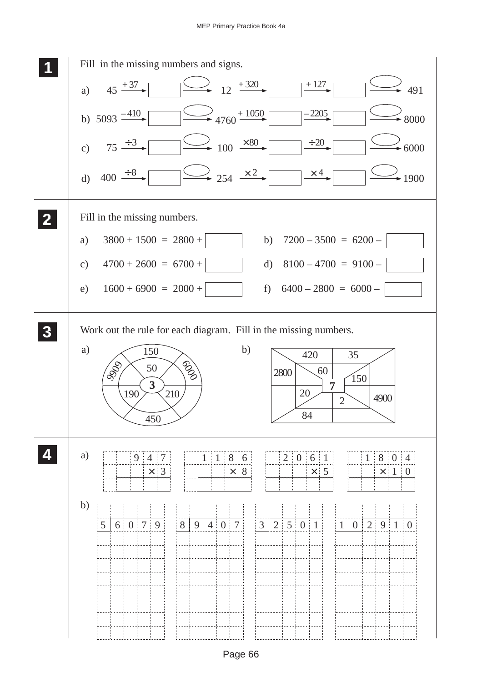

Page 66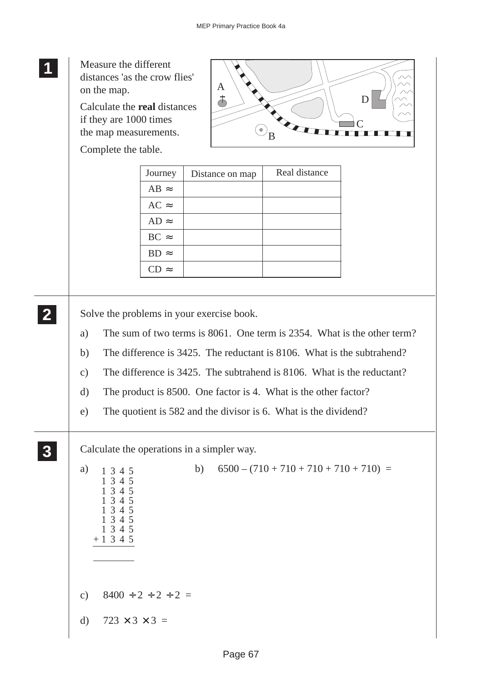**1 11** Measure the different **11** distances 'as the crow flies' A on the map. ま D Calculate the **real** distances if they are 1000 times  $\mathcal{C}_{0}^{(n)}$  $\odot_{\mathbf{B}}$ the map measurements. Complete the table. Journey | Distance on map | Real distance  $AB \approx$  $AC \approx$  $AD \approx$  $BC \approx$  $BD \approx$ CD  $\approx$ **2 22** Solve the problems in your exercise book. **22** a) The sum of two terms is 8061. One term is 2354. What is the other term? b) The difference is 3425. The reductant is 8106. What is the subtrahend? c) The difference is 3425. The subtrahend is 8106. What is the reductant? d) The product is 8500. One factor is 4. What is the other factor? e) The quotient is 582 and the divisor is 6. What is the dividend? **3 33** Calculate the operations in a simpler way. **33** a)  $1 \t3 \t4 \t5$  b)  $6500 - (710 + 710 + 710 + 710 + 710) =$ 13451345 1345 1345 1345 1345 1345 + 1345 c)  $8400 \div 2 \div 2 \div 2 =$ d)  $723 \times 3 \times 3 =$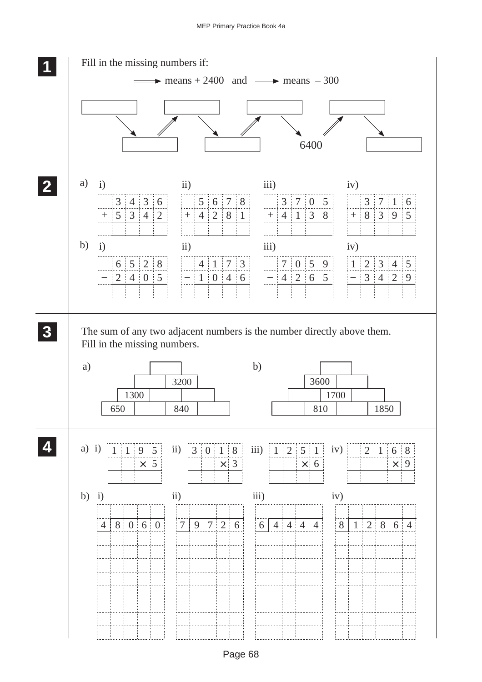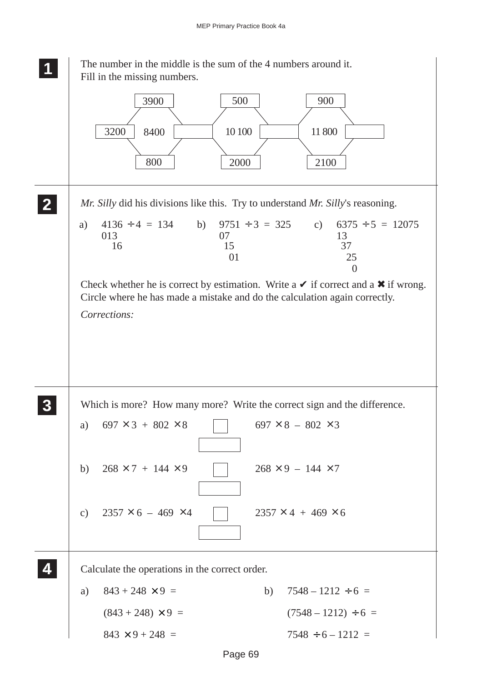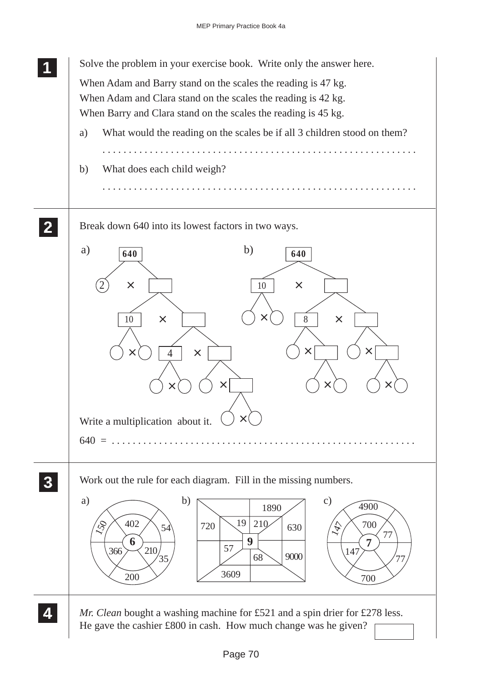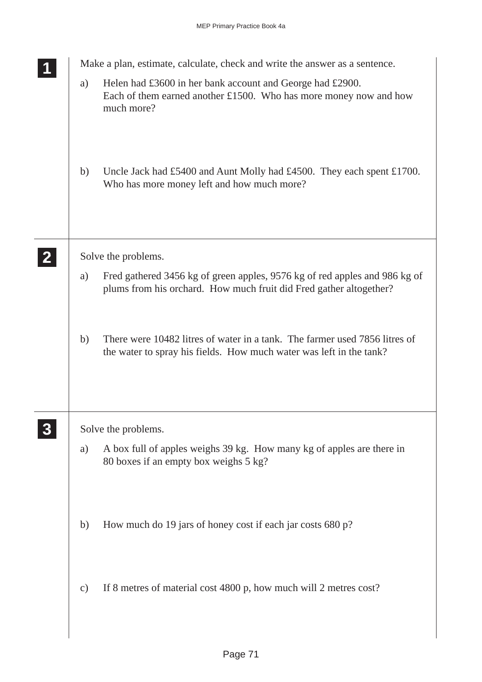|              | Make a plan, estimate, calculate, check and write the answer as a sentence. |                                                                                                                                                   |  |  |
|--------------|-----------------------------------------------------------------------------|---------------------------------------------------------------------------------------------------------------------------------------------------|--|--|
|              | a)                                                                          | Helen had £3600 in her bank account and George had £2900.<br>Each of them earned another $£1500$ . Who has more money now and how<br>much more?   |  |  |
|              | b)                                                                          | Uncle Jack had £5400 and Aunt Molly had £4500. They each spent £1700.<br>Who has more money left and how much more?                               |  |  |
| $\mathbf{2}$ |                                                                             | Solve the problems.                                                                                                                               |  |  |
|              | a)                                                                          | Fred gathered 3456 kg of green apples, 9576 kg of red apples and 986 kg of<br>plums from his orchard. How much fruit did Fred gather altogether?  |  |  |
|              | b)                                                                          | There were 10482 litres of water in a tank. The farmer used 7856 litres of<br>the water to spray his fields. How much water was left in the tank? |  |  |
|              |                                                                             | Solve the problems.                                                                                                                               |  |  |
|              | a)                                                                          | A box full of apples weighs 39 kg. How many kg of apples are there in<br>80 boxes if an empty box weighs 5 kg?                                    |  |  |
|              | b)                                                                          | How much do 19 jars of honey cost if each jar costs 680 p?                                                                                        |  |  |
|              | $\mathbf{c})$                                                               | If 8 metres of material cost 4800 p, how much will 2 metres cost?                                                                                 |  |  |
|              |                                                                             |                                                                                                                                                   |  |  |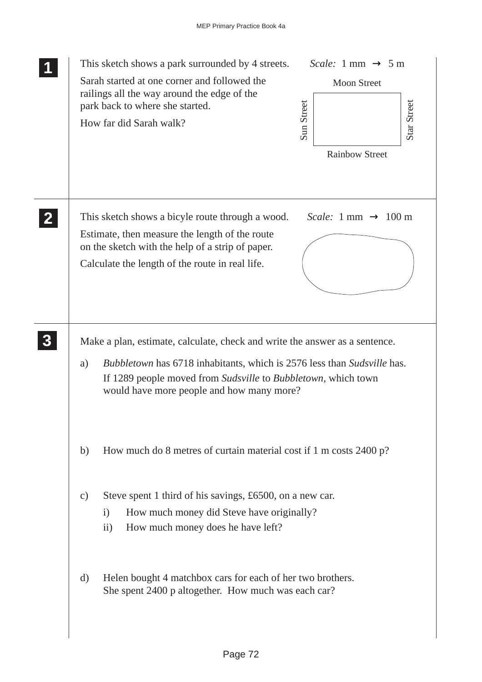|                | This sketch shows a park surrounded by 4 streets.<br>Sarah started at one corner and followed the<br>railings all the way around the edge of the<br>park back to where she started.<br>How far did Sarah walk?                                                                           | <i>Scale:</i> 1 mm $\rightarrow$ 5 m<br><b>Moon Street</b><br>Sun Street<br>Star Street<br><b>Rainbow Street</b> |
|----------------|------------------------------------------------------------------------------------------------------------------------------------------------------------------------------------------------------------------------------------------------------------------------------------------|------------------------------------------------------------------------------------------------------------------|
| $\mathbf{2}$   | This sketch shows a bicyle route through a wood.<br>Estimate, then measure the length of the route<br>on the sketch with the help of a strip of paper.<br>Calculate the length of the route in real life.                                                                                | <i>Scale:</i> 1 mm $\rightarrow$ 100 m                                                                           |
| 3 <sup>1</sup> | Make a plan, estimate, calculate, check and write the answer as a sentence.<br><i>Bubbletown</i> has 6718 inhabitants, which is 2576 less than <i>Sudsville</i> has.<br>a)<br>If 1289 people moved from Sudsville to Bubbletown, which town<br>would have more people and how many more? |                                                                                                                  |
|                | How much do 8 metres of curtain material cost if 1 m costs 2400 p?<br>b)<br>Steve spent 1 third of his savings, £6500, on a new car.<br>$\mathbf{c})$<br>How much money did Steve have originally?<br>$\mathbf{i}$<br>How much money does he have left?<br>$\rm ii)$                     |                                                                                                                  |
|                | Helen bought 4 matchbox cars for each of her two brothers.<br>d)<br>She spent 2400 p altogether. How much was each car?                                                                                                                                                                  |                                                                                                                  |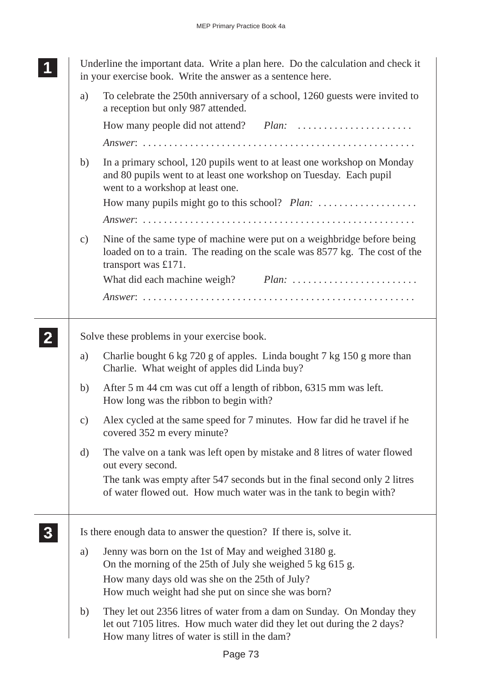**<sup>11</sup>** Underline the important data. Write a plan here. Do the calculation and check it

**1 11** in your exercise book. Write the answer as a sentence here. a) To celebrate the 250th anniversary of a school, 1260 guests were invited to a reception but only 987 attended. How many people did not attend? *Plan:* . . . . . . . . . . . . . . . . . . . . . . *Answer*: . . . . . . . . . . . . . . . . . . . . . . . . . . . . . . . . . . . . . . . . . . . . . . . . . . . . b) In a primary school, 120 pupils went to at least one workshop on Monday and 80 pupils went to at least one workshop on Tuesday. Each pupil went to a workshop at least one. How many pupils might go to this school? *Plan:* . . . . . . . . . . . . . . . . . . . *Answer*: . . . . . . . . . . . . . . . . . . . . . . . . . . . . . . . . . . . . . . . . . . . . . . . . . . . . c) Nine of the same type of machine were put on a weighbridge before being loaded on to a train. The reading on the scale was 8577 kg. The cost of the transport was £171. What did each machine weigh? *Plan:* . . . . . . . . . . . . . . . . . . . . . . . . *Answer*: . . . . . . . . . . . . . . . . . . . . . . . . . . . . . . . . . . . . . . . . . . . . . . . . . . . . Solve these problems in your exercise book. a) Charlie bought 6 kg 720 g of apples. Linda bought 7 kg 150 g more than Charlie. What weight of apples did Linda buy? b) After 5 m 44 cm was cut off a length of ribbon, 6315 mm was left. How long was the ribbon to begin with? c) Alex cycled at the same speed for 7 minutes. How far did he travel if he covered 352 m every minute? d) The valve on a tank was left open by mistake and 8 litres of water flowed out every second. The tank was empty after 547 seconds but in the final second only 2 litres of water flowed out. How much water was in the tank to begin with? Is there enough data to answer the question? If there is, solve it. a) Jenny was born on the 1st of May and weighed 3180 g. On the morning of the 25th of July she weighed 5 kg 615 g. How many days old was she on the 25th of July? How much weight had she put on since she was born? b) They let out 2356 litres of water from a dam on Sunday. On Monday they let out 7105 litres. How much water did they let out during the 2 days? How many litres of water is still in the dam? **2 22 22 3 33 33**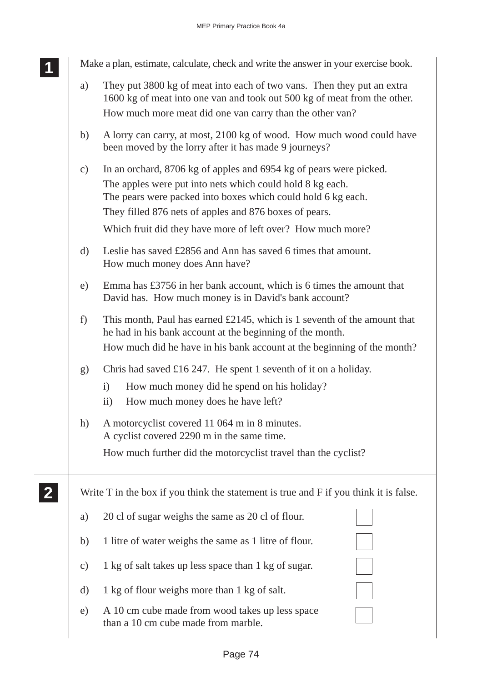**2 22 22** Make a plan, estimate, calculate, check and write the answer in your exercise book.

- a) They put 3800 kg of meat into each of two vans. Then they put an extra 1600 kg of meat into one van and took out 500 kg of meat from the other. How much more meat did one van carry than the other van?
- b) A lorry can carry, at most, 2100 kg of wood. How much wood could have been moved by the lorry after it has made 9 journeys?
- c) In an orchard, 8706 kg of apples and 6954 kg of pears were picked. The apples were put into nets which could hold 8 kg each. The pears were packed into boxes which could hold 6 kg each. They filled 876 nets of apples and 876 boxes of pears.

Which fruit did they have more of left over? How much more?

- d) Leslie has saved £2856 and Ann has saved 6 times that amount. How much money does Ann have?
- e) Emma has £3756 in her bank account, which is 6 times the amount that David has. How much money is in David's bank account?
- f) This month, Paul has earned £2145, which is 1 seventh of the amount that he had in his bank account at the beginning of the month. How much did he have in his bank account at the beginning of the month?
- g) Chris had saved £16 247. He spent 1 seventh of it on a holiday.
	- i) How much money did he spend on his holiday?
	- ii) How much money does he have left?
- h) A motorcyclist covered 11 064 m in 8 minutes. A cyclist covered 2290 m in the same time.

How much further did the motorcyclist travel than the cyclist?

Write T in the box if you think the statement is true and F if you think it is false.

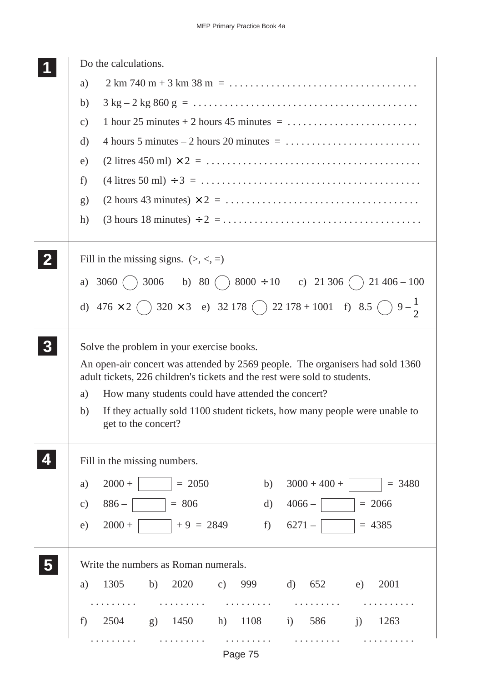|   | Do the calculations.                                                                                                                                                                                                                                                                                                                                                           |  |  |  |  |
|---|--------------------------------------------------------------------------------------------------------------------------------------------------------------------------------------------------------------------------------------------------------------------------------------------------------------------------------------------------------------------------------|--|--|--|--|
|   | a)                                                                                                                                                                                                                                                                                                                                                                             |  |  |  |  |
|   | b)                                                                                                                                                                                                                                                                                                                                                                             |  |  |  |  |
|   | 1 hour 25 minutes $+ 2$ hours 45 minutes $= \ldots \ldots \ldots \ldots \ldots \ldots \ldots$<br>$\mathbf{c})$                                                                                                                                                                                                                                                                 |  |  |  |  |
|   | d)                                                                                                                                                                                                                                                                                                                                                                             |  |  |  |  |
|   | $(2 \text{ litres } 450 \text{ ml}) \times 2 = \dots \dots \dots \dots \dots \dots \dots \dots \dots \dots \dots \dots \dots$<br>e)                                                                                                                                                                                                                                            |  |  |  |  |
|   | $(4 \text{ litres } 50 \text{ ml}) \div 3 = \dots \dots \dots \dots \dots \dots \dots \dots \dots \dots \dots \dots \dots \dots$<br>f)                                                                                                                                                                                                                                         |  |  |  |  |
|   | $(2 \text{ hours } 43 \text{ minutes}) \times 2 = \dots \dots \dots \dots \dots \dots \dots \dots \dots \dots \dots$<br>$\mathbf{g}$                                                                                                                                                                                                                                           |  |  |  |  |
|   | $(3 \text{ hours } 18 \text{ minutes}) \div 2 = \dots \dots \dots \dots \dots \dots \dots \dots \dots \dots \dots \dots$<br>h)                                                                                                                                                                                                                                                 |  |  |  |  |
| 2 | Fill in the missing signs. $(>, <, =)$                                                                                                                                                                                                                                                                                                                                         |  |  |  |  |
|   | a) 3060 ( ) 3006 b) 80 ( ) 8000 ÷ 10 c) 21 306 ( ) 21 406 – 100                                                                                                                                                                                                                                                                                                                |  |  |  |  |
|   | d) $476 \times 2$ $\bigcirc$ $320 \times 3$ e) $32178$ $\bigcirc$ $22178 + 1001$ f) $8.5$ $\bigcirc$ $9-\frac{1}{2}$                                                                                                                                                                                                                                                           |  |  |  |  |
|   | Solve the problem in your exercise books.<br>An open-air concert was attended by 2569 people. The organisers had sold 1360<br>adult tickets, 226 children's tickets and the rest were sold to students.<br>How many students could have attended the concert?<br>a)<br>If they actually sold 1100 student tickets, how many people were unable to<br>b)<br>get to the concert? |  |  |  |  |
|   | Fill in the missing numbers.                                                                                                                                                                                                                                                                                                                                                   |  |  |  |  |
|   | $2000 +$ $= 2050$<br>$3000 + 400 +$<br>b)<br>$= 3480$<br>a)                                                                                                                                                                                                                                                                                                                    |  |  |  |  |
|   | $4066  \vert$ = 2066<br>$= 806$<br>$886 -$<br>$\mathbf{d}$<br>c)                                                                                                                                                                                                                                                                                                               |  |  |  |  |
|   | $  +9 = 2849$<br>f) $6271 -  $ $  = 4385$<br>$2000 +$<br>e)                                                                                                                                                                                                                                                                                                                    |  |  |  |  |
|   | Write the numbers as Roman numerals.                                                                                                                                                                                                                                                                                                                                           |  |  |  |  |
|   | 1305 b) 2020 c) 999 d) 652 e)<br>2001<br>a)                                                                                                                                                                                                                                                                                                                                    |  |  |  |  |
|   |                                                                                                                                                                                                                                                                                                                                                                                |  |  |  |  |
|   | 1450 h) 1108 i) 586 j)<br>$2504$ g)<br>1263<br>f                                                                                                                                                                                                                                                                                                                               |  |  |  |  |
|   |                                                                                                                                                                                                                                                                                                                                                                                |  |  |  |  |

Page 75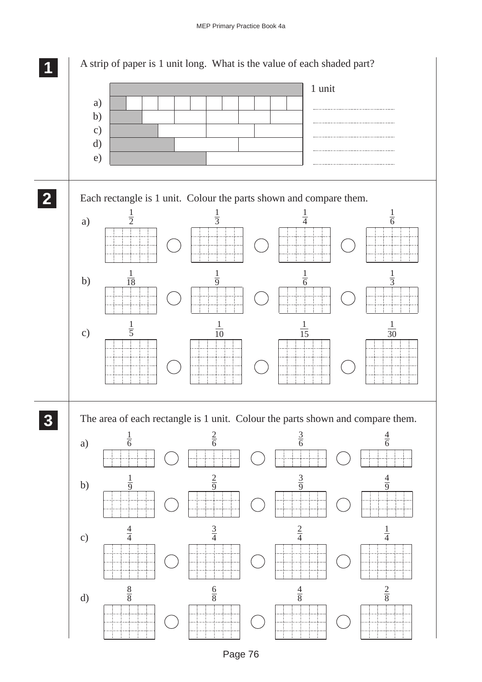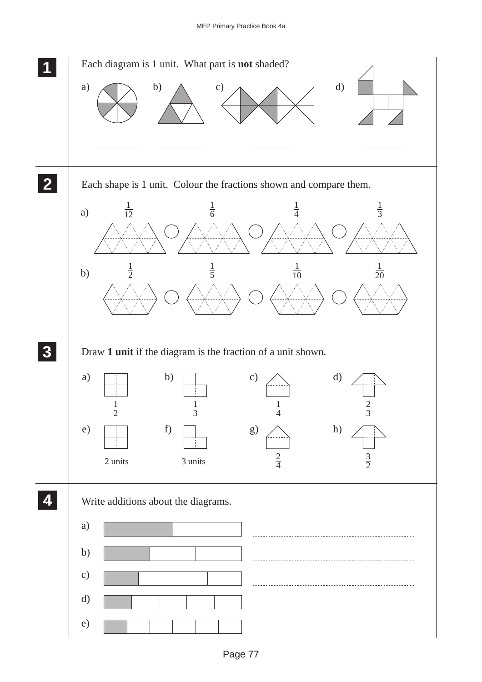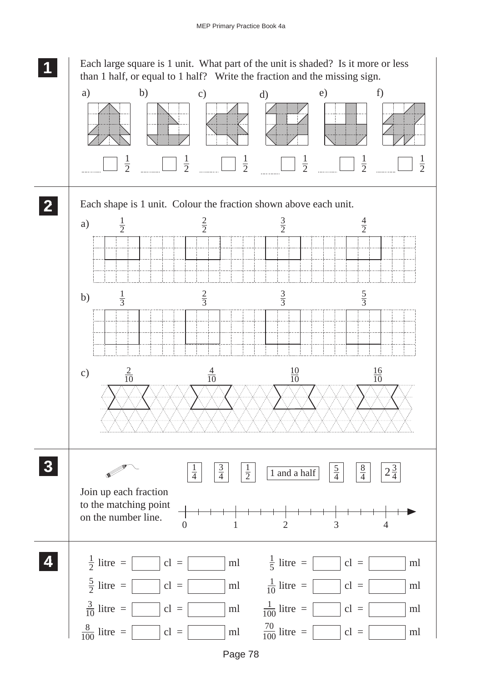**1 11** Each large square is 1 unit. What part of the unit is shaded? Is it more or less **11** than 1 half, or equal to 1 half? Write the fraction and the missing sign. a) b) c) d) e) f) 1 1 1 1 1 1 2 2 2 2 2 2 **2 22** Each shape is 1 unit. Colour the fraction shown above each unit. **22**  $\frac{1}{2}$ 2 3 4  $a)$ 2 2 2 2 3 5  $\frac{1}{3}$  $b)$ 3 3 3  $\frac{4}{10}$  $\frac{10}{10}$ c)  $\frac{2}{10}$ 16  $\frac{18}{10}$ 10 10 **3 33**  $\frac{1}{2}$ **33**  $\frac{1}{4}$   $\begin{array}{|c|c|c|} \hline 3 & 1 \\ \hline \end{array}$   $\begin{array}{|c|c|} \hline 1 & \hline 1 & \hline 1 & \hline 1 & \hline 1 & \hline 1 & \hline 1 & \hline 1 & \hline 1 & \hline 1 & \hline 1 & \hline 1 & \hline 1 & \hline 1 & \hline 1 & \hline 1 & \hline 1 & \hline 1 & \hline 1 & \hline 1 & \hline 1 & \hline 1 & \hline 1 & \hline 1 & \hline 1 & \hline 1 & \hline 1 & \hline$  $\frac{1}{2}$  |  $\frac{3}{2}$  |  $\frac{1}{2}$ 5 8  $2\frac{3}{4}$ V 4 4 4 Join up each fraction to the matching point on the number line. 0 1 2 3 4 **4 44**  $\frac{1}{2}$  litre =  $\Box$  cl =  $\Box$  ml  $\frac{1}{5}$  litre =  $\Box$  cl =  $\Box$  ml  $\frac{1}{2}$  litre = **44** $\frac{5}{2}$  litre =  $\boxed{\phantom{0}}$  cl = 1  $\frac{3}{2}$  litre =  $\begin{bmatrix} \ncl = \n\end{bmatrix}$  cl =  $\begin{bmatrix} \nml \end{bmatrix}$  ml  $\frac{1}{10}$  litre =  $\begin{bmatrix} \ncl = \n\end{bmatrix}$  cl =  $\begin{bmatrix} \nml \end{bmatrix}$  $\frac{1}{100}$  litre =  $\boxed{\phantom{0}}$  cl =  $\boxed{\phantom{0}}$  ml  $\frac{3}{10}$  litre = cl = cl = ml  $\frac{1}{100}$  litre = litre = cl = cl = ml  $\frac{70}{100}$  litre = cl = ml 8 100 100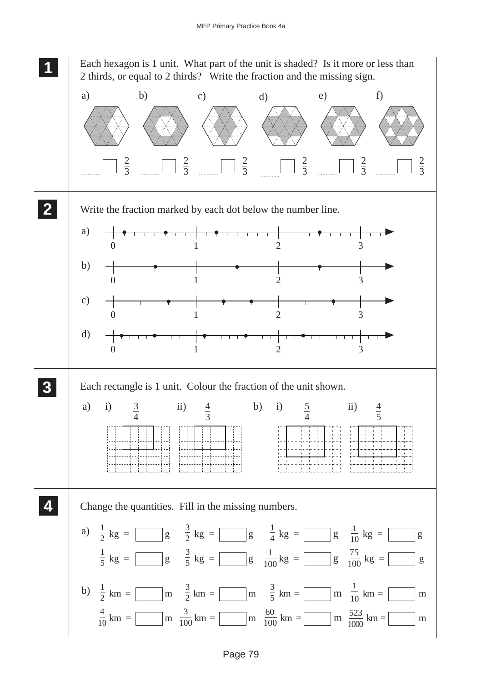Each hexagon is 1 unit. What part of the unit is shaded? Is it more or less than 2 thirds, or equal to 2 thirds? Write the fraction and the missing sign.

 **11**